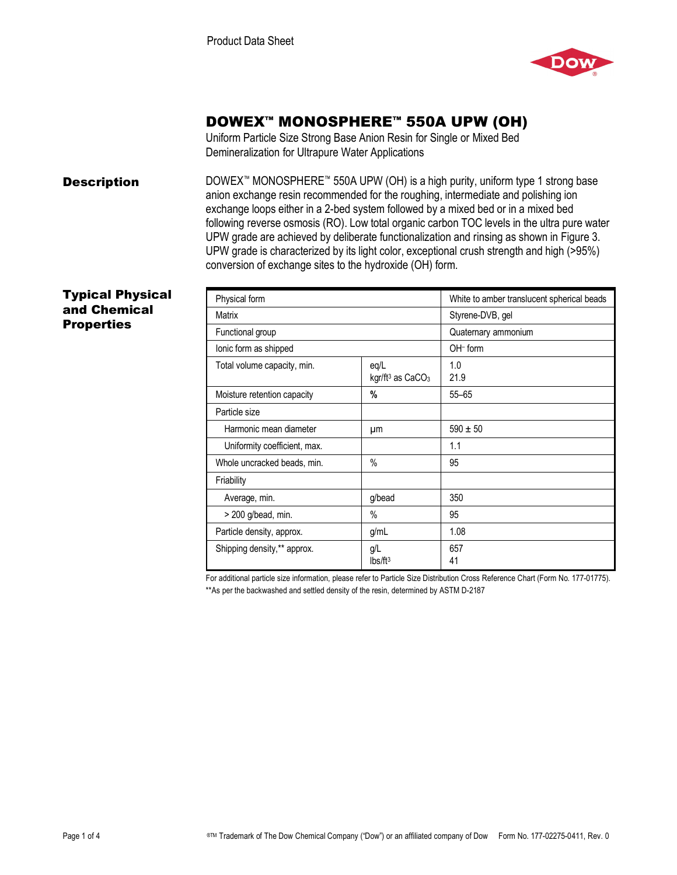

# DOWEX™ MONOSPHERE™ 550A UPW (OH)

Uniform Particle Size Strong Base Anion Resin for Single or Mixed Bed Demineralization for Ultrapure Water Applications

**Description** DOWEX<sup>™</sup> MONOSPHERE<sup>™</sup> 550A UPW (OH) is a high purity, uniform type 1 strong base anion exchange resin recommended for the roughing, intermediate and polishing ion exchange loops either in a 2-bed system followed by a mixed bed or in a mixed bed following reverse osmosis (RO). Low total organic carbon TOC levels in the ultra pure water UPW grade are achieved by deliberate functionalization and rinsing as shown in Figure 3. UPW grade is characterized by its light color, exceptional crush strength and high (>95%) conversion of exchange sites to the hydroxide (OH) form.

### Typical Physical and Chemical **Properties**

| Physical form                |                                        | White to amber translucent spherical beads |
|------------------------------|----------------------------------------|--------------------------------------------|
| Matrix                       |                                        | Styrene-DVB, gel                           |
| Functional group             |                                        | Quaternary ammonium                        |
| lonic form as shipped        |                                        | $OH-$ form                                 |
| Total volume capacity, min.  | eq/L<br>kgr/ft <sup>3</sup> as $CaCO3$ | 1.0<br>21.9                                |
| Moisture retention capacity  | %                                      | $55 - 65$                                  |
| Particle size                |                                        |                                            |
| Harmonic mean diameter       | μm                                     | $590 \pm 50$                               |
| Uniformity coefficient, max. |                                        | 1.1                                        |
| Whole uncracked beads, min.  | $\frac{0}{0}$                          | 95                                         |
| Friability                   |                                        |                                            |
| Average, min.                | g/bead                                 | 350                                        |
| $>$ 200 g/bead, min.         | $\%$                                   | 95                                         |
| Particle density, approx.    | g/mL                                   | 1.08                                       |
| Shipping density,** approx.  | g/L<br>Ibs/ft <sup>3</sup>             | 657<br>41                                  |

For additional particle size information, please refer to Particle Size Distribution Cross Reference Chart (Form No. 177-01775). \*\*As per the backwashed and settled density of the resin, determined by ASTM D-2187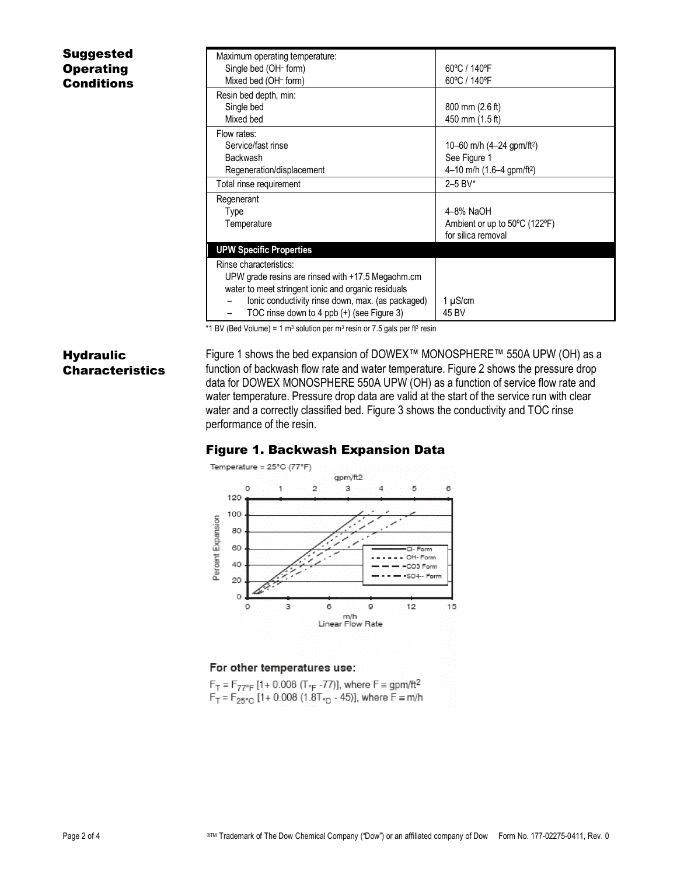# Suggested **Operating Conditions**

| Maximum operating temperature:<br>Single bed (OH- form) | 60°C / 140°F                            |
|---------------------------------------------------------|-----------------------------------------|
| Mixed bed (OH- form)                                    | 60°C / 140°F                            |
| Resin bed depth, min:                                   |                                         |
| Single bed                                              | $800 \text{ mm}$ (2.6 ft)               |
| Mixed bed                                               | 450 mm (1.5 ft)                         |
| Flow rates:                                             |                                         |
| Service/fast rinse                                      | 10–60 m/h $(4–24$ gpm/ft <sup>2</sup> ) |
| Backwash                                                | See Figure 1                            |
| Regeneration/displacement                               | 4–10 m/h $(1.6–4$ gpm/ft <sup>2</sup> ) |
| Total rinse requirement                                 | $2 - 5$ BV*                             |
| Regenerant                                              |                                         |
| Type                                                    | 4-8% NaOH                               |
| Temperature                                             | Ambient or up to 50°C (122°F)           |
|                                                         | for silica removal                      |
| <b>UPW Specific Properties</b>                          |                                         |
| Rinse characteristics:                                  |                                         |
| UPW grade resins are rinsed with +17.5 Megaohm.cm       |                                         |
| water to meet stringent ionic and organic residuals     |                                         |
| lonic conductivity rinse down, max. (as packaged)       | 1 µS/cm                                 |
| TOC rinse down to 4 ppb (+) (see Figure 3)              | 45 BV                                   |

\*1 BV (Bed Volume) = 1 m<sup>3</sup> solution per m<sup>3</sup> resin or 7.5 gals per ft<sup>3</sup> resin

# **Hydraulic Characteristics**

Figure 1 shows the bed expansion of DOWEX™ MONOSPHERE™ 550A UPW (OH) as a function of backwash flow rate and water temperature. Figure 2 shows the pressure drop data for DOWEX MONOSPHERE 550A UPW (OH) as a function of service flow rate and water temperature. Pressure drop data are valid at the start of the service run with clear water and a correctly classified bed. Figure 3 shows the conductivity and TOC rinse performance of the resin.

### Figure 1. Backwash Expansion Data



#### For other temperatures use:

 $F_T = F_{77^\circ F}$  [1+ 0.008 (T<sub>°F</sub> -77)], where  $F = gpm/ft^2$ .  $F_T = F_{25\degree}$  [1+ 0.008 (1.8T<sub>°C</sub> - 45)], where  $F \equiv m/h$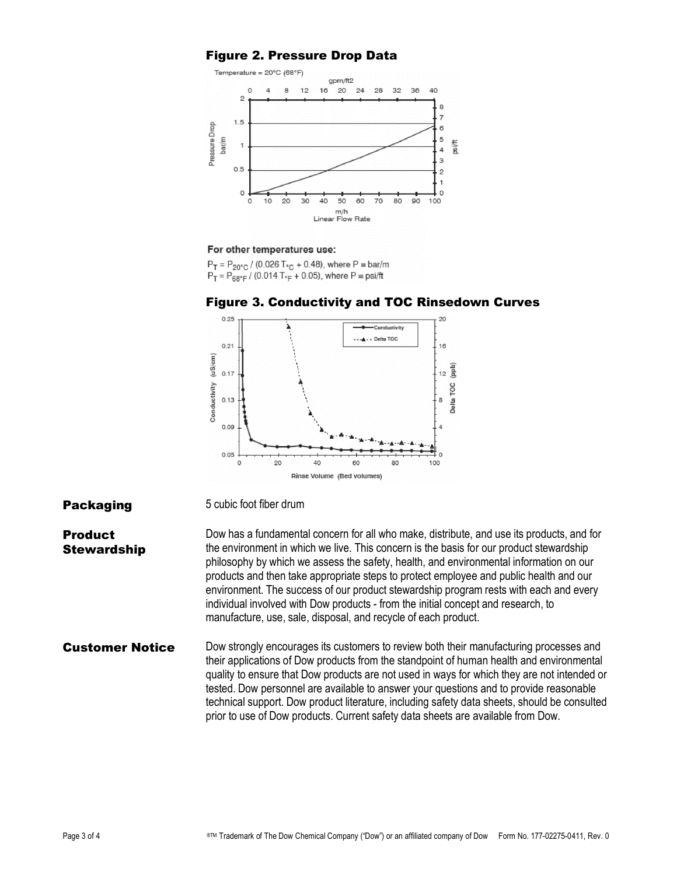### Figure 2. Pressure Drop Data



#### For other temperatures use:

**Packaging** 5 cubic foot fiber drum

 $P_T = P_{20^{\circ}C} / (0.026 T_{\circ C} + 0.48)$ , where  $P = bar/m$  $P_T = P_{BR^oF} / (0.014 T_{eF} + 0.05)$ , where  $P = \text{psi/ft}$ 



#### Figure 3. Conductivity and TOC Rinsedown Curves

**Product Stewardship** Dow has a fundamental concern for all who make, distribute, and use its products, and for the environment in which we live. This concern is the basis for our product stewardship philosophy by which we assess the safety, health, and environmental information on our products and then take appropriate steps to protect employee and public health and our environment. The success of our product stewardship program rests with each and every individual involved with Dow products - from the initial concept and research, to manufacture, use, sale, disposal, and recycle of each product.

### **Customer Notice** Dow strongly encourages its customers to review both their manufacturing processes and their applications of Dow products from the standpoint of human health and environmental quality to ensure that Dow products are not used in ways for which they are not intended or tested. Dow personnel are available to answer your questions and to provide reasonable technical support. Dow product literature, including safety data sheets, should be consulted prior to use of Dow products. Current safety data sheets are available from Dow.